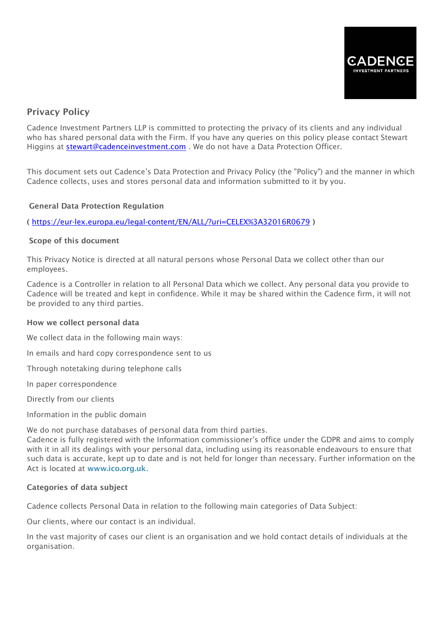

# Privacy Policy

Cadence Investment Partners LLP is committed to protecting the privacy of its clients and any individual who has shared personal data with the Firm. If you have any queries on this policy please contact Stewart Higgins at [stewart@cadenceinvestment.com](mailto:stewart@cadenceinvestment.com) . We do not have a Data Protection Officer.

This document sets out Cadence's Data Protection and Privacy Policy (the "Policy") and the manner in which Cadence collects, uses and stores personal data and information submitted to it by you.

# General Data Protection Regulation

( <https://eur-lex.europa.eu/legal-content/EN/ALL/?uri=CELEX%3A32016R0679> )

## Scope of this document

This Privacy Notice is directed at all natural persons whose Personal Data we collect other than our employees.

Cadence is a Controller in relation to all Personal Data which we collect. Any personal data you provide to Cadence will be treated and kept in confidence. While it may be shared within the Cadence firm, it will not be provided to any third parties.

#### How we collect personal data

We collect data in the following main ways:

In emails and hard copy correspondence sent to us

Through notetaking during telephone calls

In paper correspondence

Directly from our clients

Information in the public domain

We do not purchase databases of personal data from third parties.

Cadence is fully registered with the Information commissioner's office under the GDPR and aims to comply with it in all its dealings with your personal data, including using its reasonable endeavours to ensure that such data is accurate, kept up to date and is not held for longer than necessary. Further information on the Act is located at [www.ico.org.uk](http://www.ico.org.uk/).

# Categories of data subject

Cadence collects Personal Data in relation to the following main categories of Data Subject:

Our clients, where our contact is an individual.

In the vast majority of cases our client is an organisation and we hold contact details of individuals at the organisation.